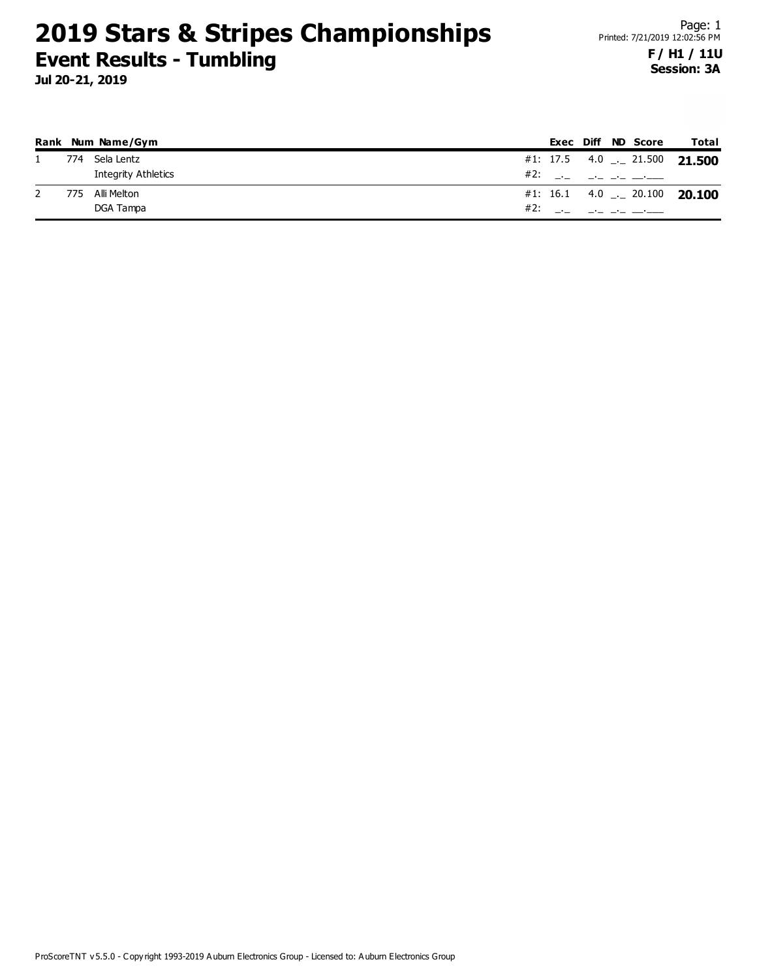|     | Rank Num Name/Gym          |     |  | <b>Exec Diff ND Score</b>  | Total                               |
|-----|----------------------------|-----|--|----------------------------|-------------------------------------|
| 774 | Sela Lentz                 |     |  |                            | #1: 17.5 4.0  21.500 21.500         |
|     | <b>Integrity Athletics</b> |     |  | #2: __ _ _ _ _ _ _ _       |                                     |
| 775 | Alli Melton                |     |  |                            | #1: 16.1 4.0 $\ldots$ 20.100 20.100 |
|     | DGA Tampa                  | #2: |  | والمستحقق والمتحدث المتحلة |                                     |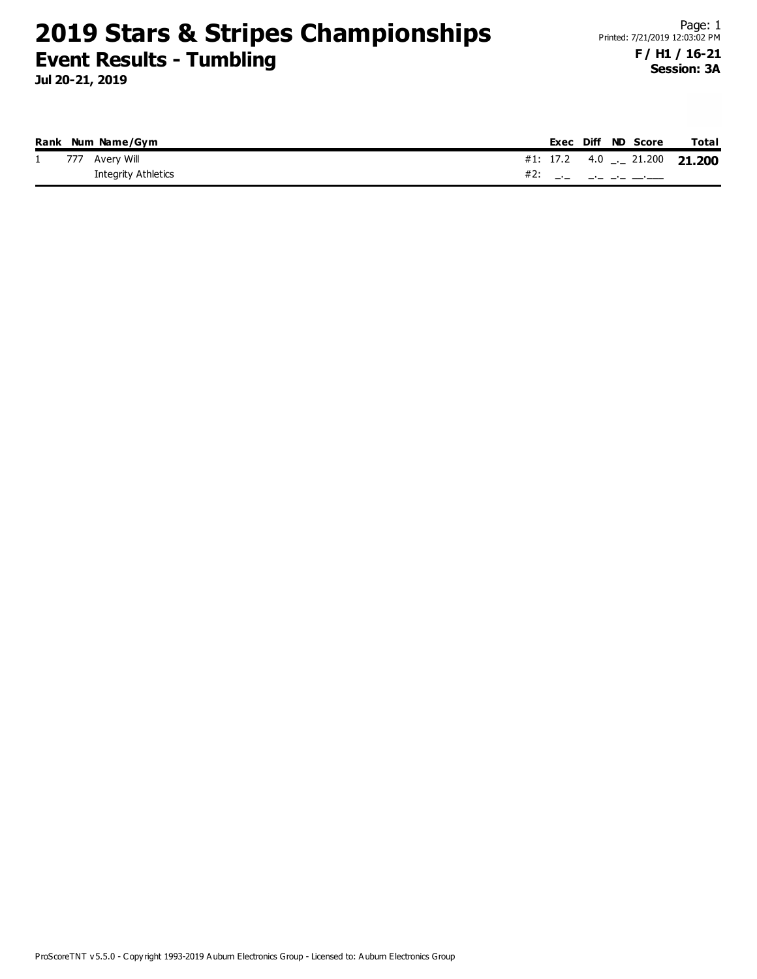**Jul 20-21, 2019**

#### **Session: 3A**

|  | Rank Num Name/Gym   |  |  | Exec Diff ND Score | Total                          |
|--|---------------------|--|--|--------------------|--------------------------------|
|  | 1 777 Avery Will    |  |  |                    | #1: 17.2 4.0 $-$ 21.200 21.200 |
|  | Integrity Athletics |  |  | #2: __ __ __ __ __ |                                |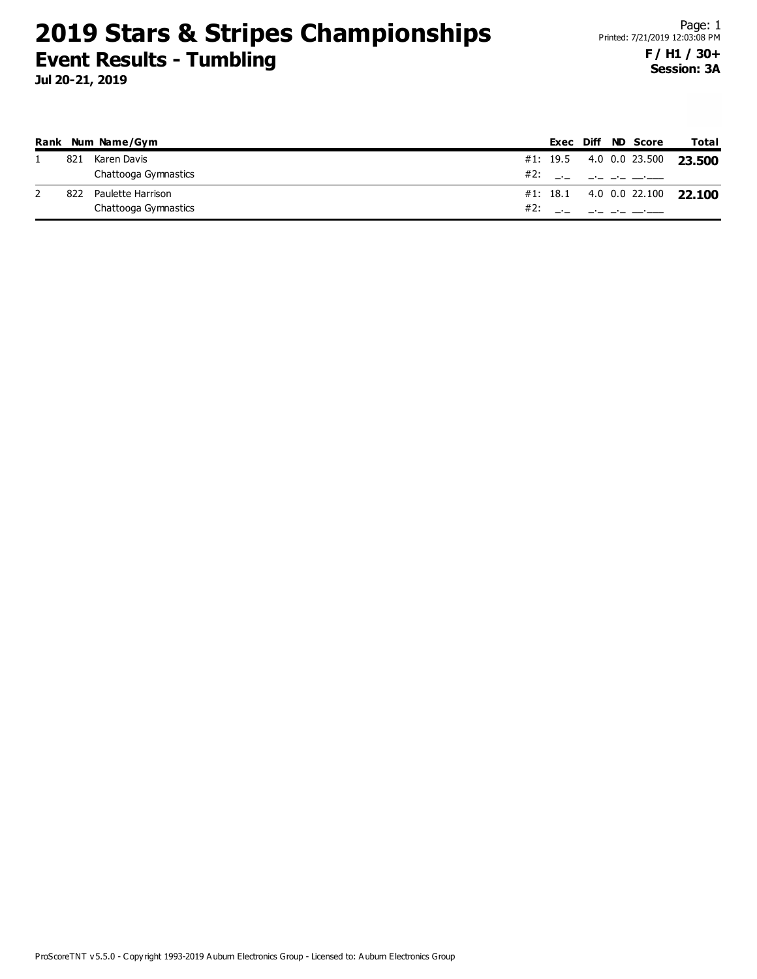|     | Rank Num Name/Gym    |     |  | Exec Diff ND Score                     | Total                          |
|-----|----------------------|-----|--|----------------------------------------|--------------------------------|
| 821 | Karen Davis          |     |  |                                        | #1: 19.5 4.0 0.0 23.500 23.500 |
|     | Chattooga Gymnastics |     |  | #2: ___ __ __ ___                      |                                |
| 822 | Paulette Harrison    |     |  |                                        | #1: 18.1 4.0 0.0 22.100 22.100 |
|     | Chattooga Gymnastics | #2: |  | the control of the control of the con- |                                |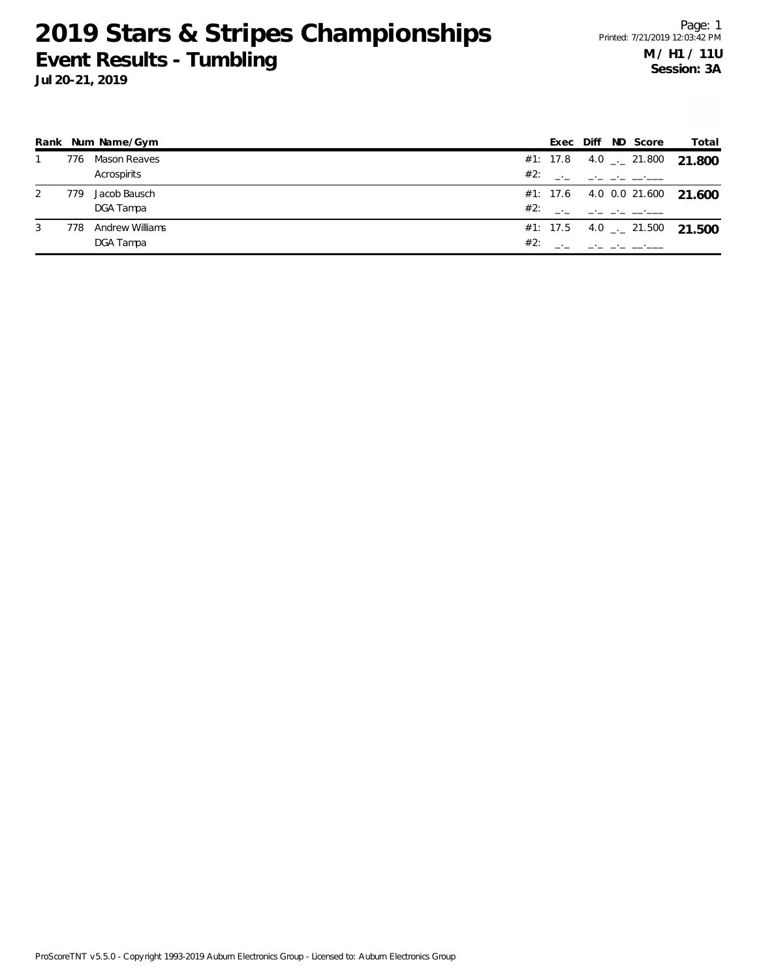**Jul 20-21, 2019**

|   |     | Rank Num Name/Gym      |     | Exec | Diff ND Score | Total                          |
|---|-----|------------------------|-----|------|---------------|--------------------------------|
|   | 776 | Mason Reaves           |     |      |               | #1: 17.8 4.0 $-$ 21.800 21.800 |
|   |     | Acrospirits            | #2: |      |               |                                |
| 2 | 779 | Jacob Bausch           |     |      |               | #1: 17.6 4.0 0.0 21.600 21.600 |
|   |     | DGA Tampa              | #2: |      |               |                                |
| 3 | 778 | <b>Andrew Williams</b> |     |      |               | #1: 17.5 4.0 $-$ 21.500 21.500 |
|   |     | DGA Tampa              | #2: |      |               |                                |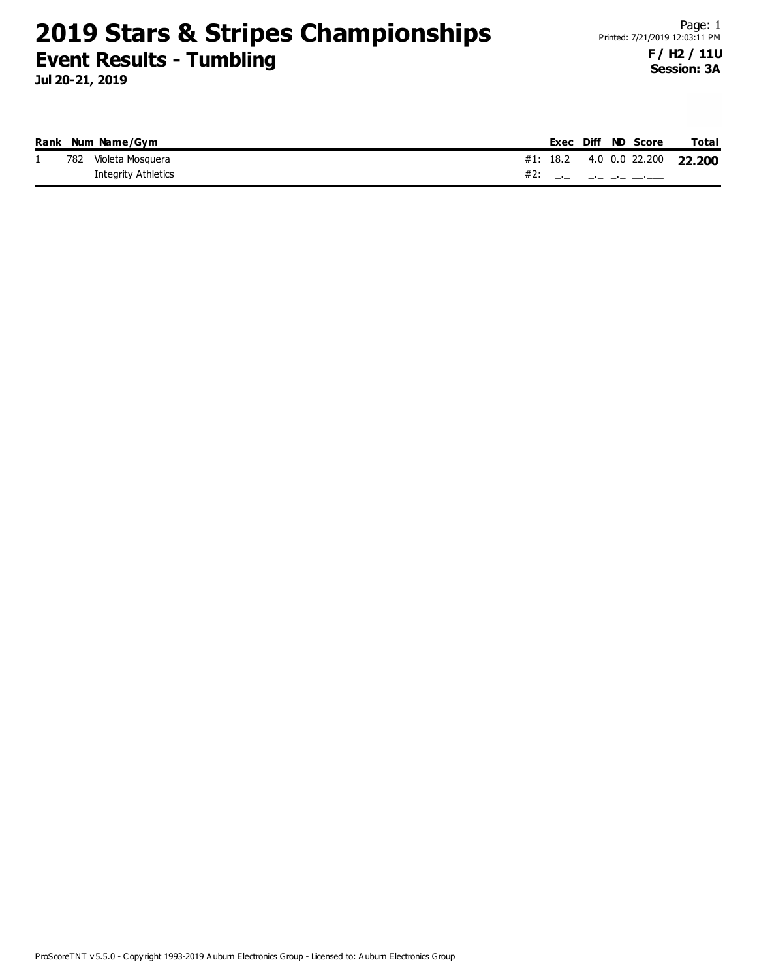**Jul 20-21, 2019**

**Session: 3A**

|          |     | Rank Num Name/Gym   |  |  | Exec Diff ND Score | Total                          |
|----------|-----|---------------------|--|--|--------------------|--------------------------------|
| <b>.</b> | 782 | Violeta Mosquera    |  |  |                    | #1: 18.2 4.0 0.0 22.200 22.200 |
|          |     | Integrity Athletics |  |  |                    |                                |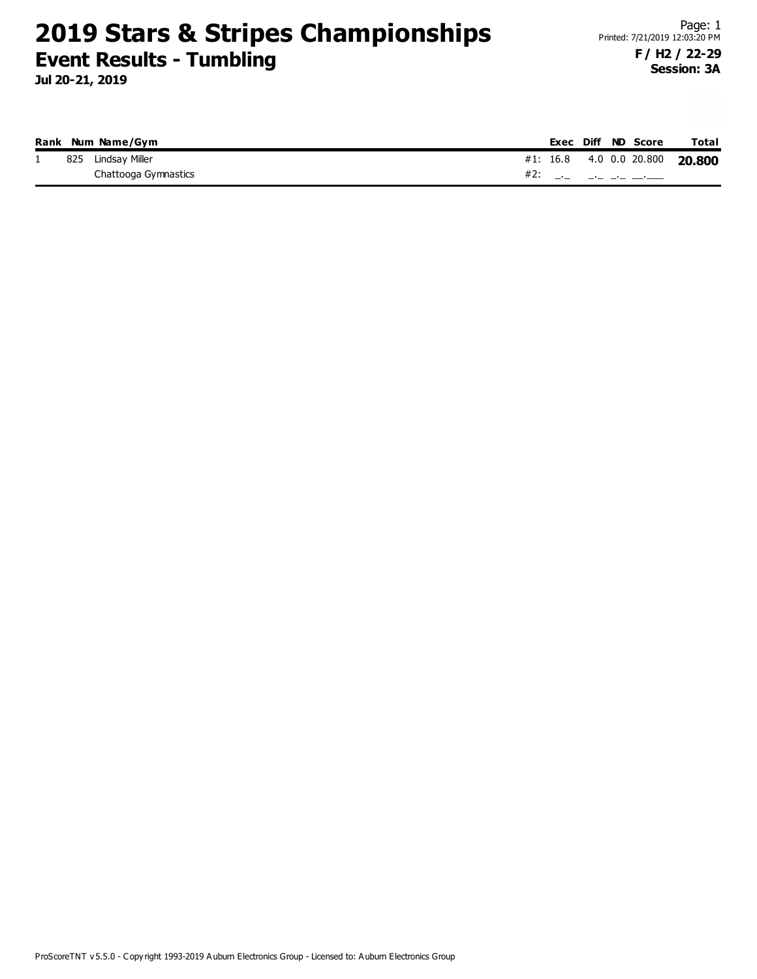**Jul 20-21, 2019**

|  | Rank Num Name/Gym    |  |  | Exec Diff ND Score                                                                                                                              | <b>Total</b>                   |
|--|----------------------|--|--|-------------------------------------------------------------------------------------------------------------------------------------------------|--------------------------------|
|  | 825 Lindsay Miller   |  |  |                                                                                                                                                 | #1: 16.8 4.0 0.0 20.800 20.800 |
|  | Chattooga Gymnastics |  |  | #2: $\frac{1}{2}$ $\frac{1}{2}$ $\frac{1}{2}$ $\frac{1}{2}$ $\frac{1}{2}$ $\frac{1}{2}$ $\frac{1}{2}$ $\frac{1}{2}$ $\frac{1}{2}$ $\frac{1}{2}$ |                                |